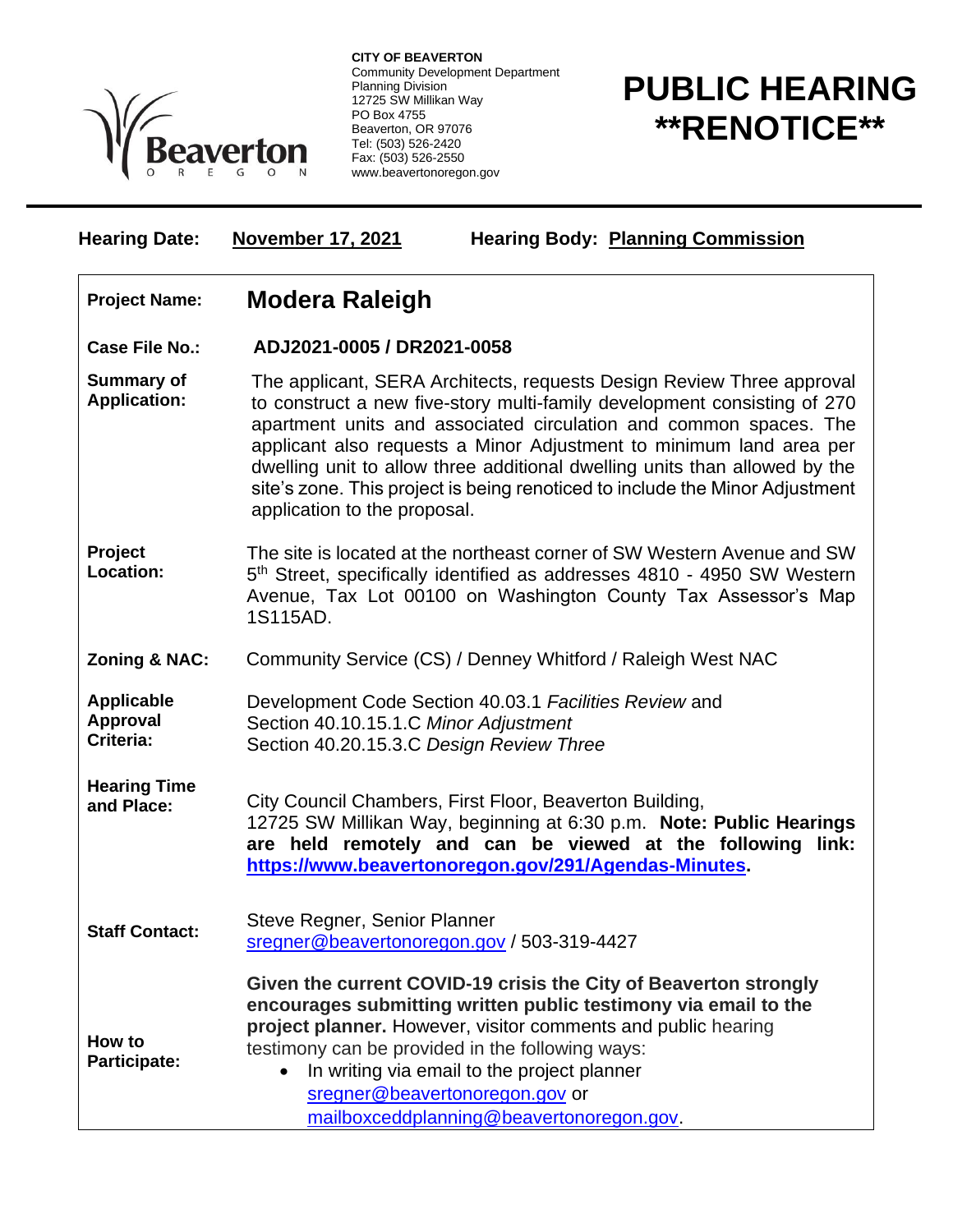

**CITY OF BEAVERTON** Community Development Department Planning Division 12725 SW Millikan Way PO Box 4755 Beaverton, OR 97076 Tel: (503) 526-2420 Fax: (503) 526-2550 www.beavertonoregon.gov

## **PUBLIC HEARING \*\*RENOTICE\*\***

**Hearing Date: November 17, 2021 Hearing Body: Planning Commission Project Name: Modera Raleigh Case File No.: ADJ2021-0005 / DR2021-0058 Summary of Application:** The applicant, SERA Architects, requests Design Review Three approval to construct a new five-story multi-family development consisting of 270 apartment units and associated circulation and common spaces. The applicant also requests a Minor Adjustment to minimum land area per dwelling unit to allow three additional dwelling units than allowed by the site's zone. This project is being renoticed to include the Minor Adjustment application to the proposal. **Project Location:** The site is located at the northeast corner of SW Western Avenue and SW 5<sup>th</sup> Street, specifically identified as addresses 4810 - 4950 SW Western Avenue, Tax Lot 00100 on Washington County Tax Assessor's Map 1S115AD. **Zoning & NAC:** Community Service (CS) / Denney Whitford / Raleigh West NAC **Applicable Approval Criteria:** Development Code Section 40.03.1 *Facilities Review* and Section 40.10.15.1.C *Minor Adjustment* Section 40.20.15.3.C *Design Review Three* **Hearing Time and Place:** City Council Chambers, First Floor, Beaverton Building, 12725 SW Millikan Way, beginning at 6:30 p.m. **Note: Public Hearings are held remotely and can be viewed at the following link: [https://www.beavertonoregon.gov/291/Agendas-Minutes.](https://www.beavertonoregon.gov/291/Agendas-Minutes) Staff Contact:** Steve Regner, Senior Planner [sregner@beavertonoregon.gov](mailto:sregner@beavertonoregon.gov) / 503-319-4427 **How to Participate: Given the current COVID-19 crisis the City of Beaverton strongly encourages submitting written public testimony via email to the project planner.** However, visitor comments and public hearing testimony can be provided in the following ways: • In writing via email to the project planner [sregner@beavertonoregon.gov](mailto:sregner@beavertonoregon.gov) or

[mailboxceddplanning@beavertonoregon.gov.](mailto:mailboxceddplanning@beavertonoregon.gov)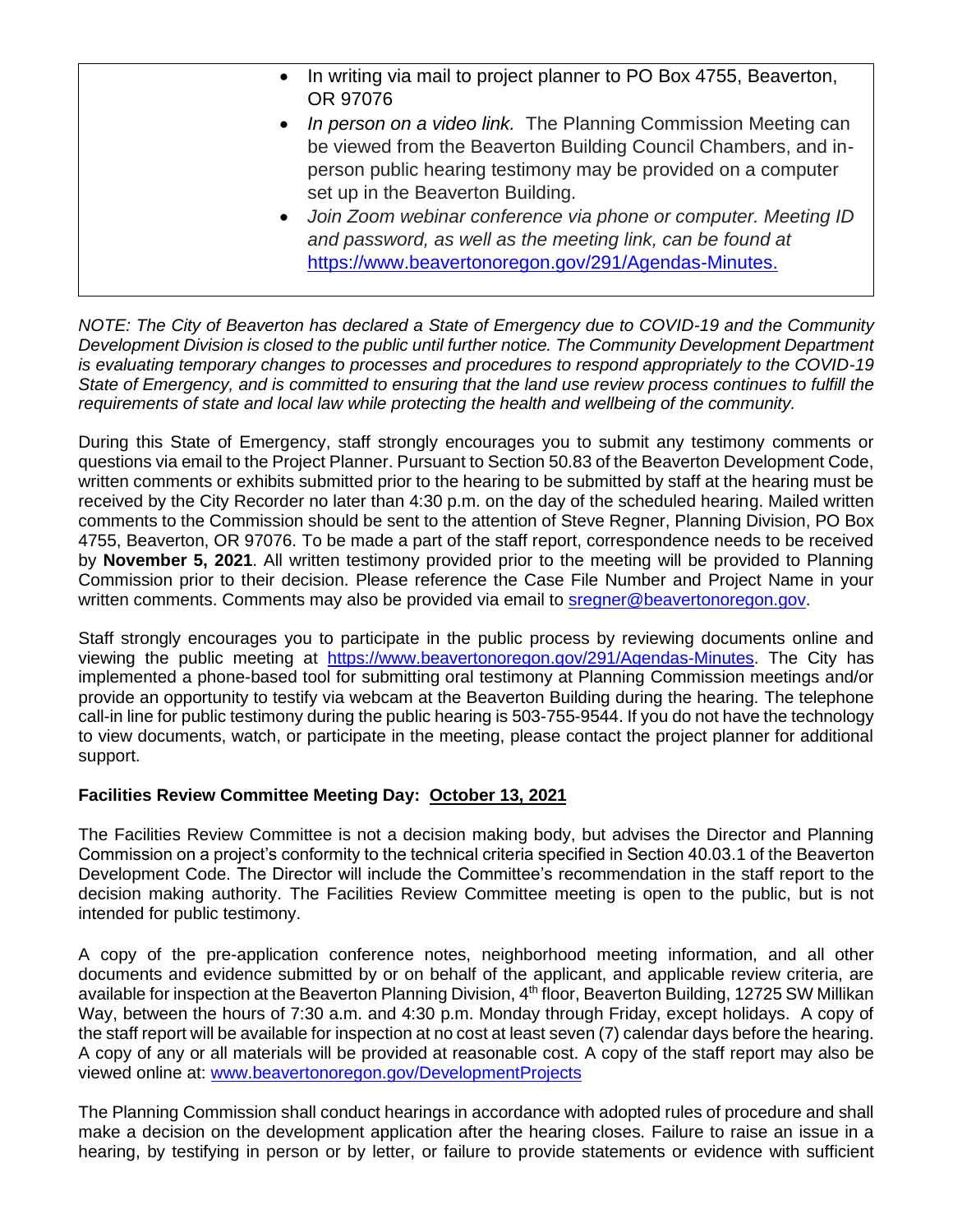- In writing via mail to project planner to PO Box 4755, Beaverton, OR 97076
- *In person on a video link.* The Planning Commission Meeting can be viewed from the Beaverton Building Council Chambers, and inperson public hearing testimony may be provided on a computer set up in the Beaverton Building.
- *Join Zoom webinar conference via phone or computer. Meeting ID and password, as well as the meeting link, can be found at*  [https://www.beavertonoregon.gov/291/Agendas-Minutes.](https://www.beavertonoregon.gov/291/Agendas-Minutes)

*NOTE: The City of Beaverton has declared a State of Emergency due to COVID-19 and the Community Development Division is closed to the public until further notice. The Community Development Department is evaluating temporary changes to processes and procedures to respond appropriately to the COVID-19 State of Emergency, and is committed to ensuring that the land use review process continues to fulfill the requirements of state and local law while protecting the health and wellbeing of the community.*

During this State of Emergency, staff strongly encourages you to submit any testimony comments or questions via email to the Project Planner. Pursuant to Section 50.83 of the Beaverton Development Code, written comments or exhibits submitted prior to the hearing to be submitted by staff at the hearing must be received by the City Recorder no later than 4:30 p.m. on the day of the scheduled hearing. Mailed written comments to the Commission should be sent to the attention of Steve Regner, Planning Division, PO Box 4755, Beaverton, OR 97076. To be made a part of the staff report, correspondence needs to be received by **November 5, 2021**. All written testimony provided prior to the meeting will be provided to Planning Commission prior to their decision. Please reference the Case File Number and Project Name in your written comments. Comments may also be provided via email to [sregner@beavertonoregon.gov.](mailto:sregner@beavertonoregon.gov)

Staff strongly encourages you to participate in the public process by reviewing documents online and viewing the public meeting at [https://www.beavertonoregon.gov/291/Agendas-Minutes.](https://www.beavertonoregon.gov/291/Agendas-Minutes) The City has implemented a phone-based tool for submitting oral testimony at Planning Commission meetings and/or provide an opportunity to testify via webcam at the Beaverton Building during the hearing. The telephone call-in line for public testimony during the public hearing is 503-755-9544. If you do not have the technology to view documents, watch, or participate in the meeting, please contact the project planner for additional support.

## **Facilities Review Committee Meeting Day: October 13, 2021**

The Facilities Review Committee is not a decision making body, but advises the Director and Planning Commission on a project's conformity to the technical criteria specified in Section 40.03.1 of the Beaverton Development Code. The Director will include the Committee's recommendation in the staff report to the decision making authority. The Facilities Review Committee meeting is open to the public, but is not intended for public testimony.

A copy of the pre-application conference notes, neighborhood meeting information, and all other documents and evidence submitted by or on behalf of the applicant, and applicable review criteria, are available for inspection at the Beaverton Planning Division, 4<sup>th</sup> floor, Beaverton Building, 12725 SW Millikan Way, between the hours of 7:30 a.m. and 4:30 p.m. Monday through Friday, except holidays. A copy of the staff report will be available for inspection at no cost at least seven (7) calendar days before the hearing. A copy of any or all materials will be provided at reasonable cost. A copy of the staff report may also be viewed online at: [www.beavertonoregon.gov/DevelopmentProjects](http://www.beavertonoregon.gov/DevelopmentProjects)

The Planning Commission shall conduct hearings in accordance with adopted rules of procedure and shall make a decision on the development application after the hearing closes. Failure to raise an issue in a hearing, by testifying in person or by letter, or failure to provide statements or evidence with sufficient